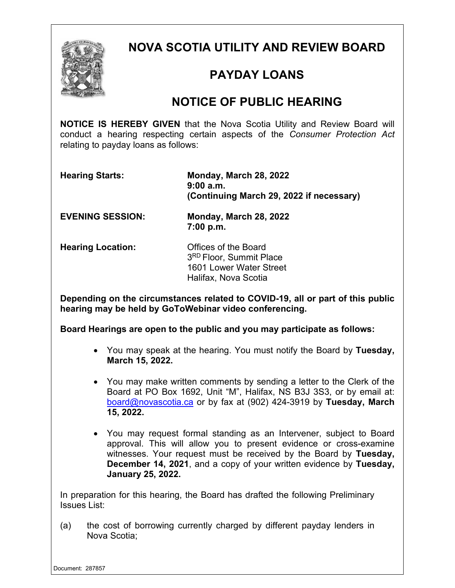

**NOVA SCOTIA UTILITY AND REVIEW BOARD**

## **PAYDAY LOANS**

## **NOTICE OF PUBLIC HEARING**

**NOTICE IS HEREBY GIVEN** that the Nova Scotia Utility and Review Board will conduct a hearing respecting certain aspects of the *Consumer Protection Act* relating to payday loans as follows:

**Hearing Starts: Monday, March 28, 2022 9:00 a.m. (Continuing March 29, 2022 if necessary)**

**EVENING SESSION: Monday, March 28, 2022 7:00 p.m.** 

**Hearing Location:** Offices of the Board

3RD Floor, Summit Place 1601 Lower Water Street Halifax, Nova Scotia

**Depending on the circumstances related to COVID-19, all or part of this public hearing may be held by GoToWebinar video conferencing.**

**Board Hearings are open to the public and you may participate as follows:**

- You may speak at the hearing. You must notify the Board by **Tuesday, March 15, 2022.**
- You may make written comments by sending a letter to the Clerk of the Board at PO Box 1692, Unit "M", Halifax, NS B3J 3S3, or by email at: [board@novascotia.ca](mailto:board@novascotia.ca) or by fax at (902) 424-3919 by **Tuesday, March 15, 2022.**
- You may request formal standing as an Intervener, subject to Board approval. This will allow you to present evidence or cross-examine witnesses. Your request must be received by the Board by **Tuesday, December 14, 2021**, and a copy of your written evidence by **Tuesday, January 25, 2022.**

In preparation for this hearing, the Board has drafted the following Preliminary Issues List:

(a) the cost of borrowing currently charged by different payday lenders in Nova Scotia;